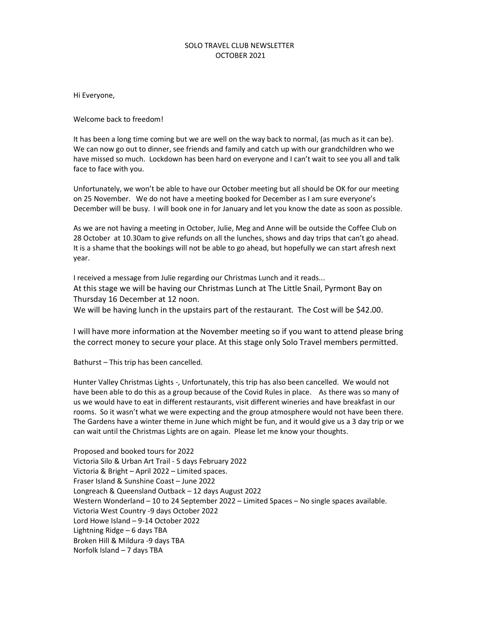## SOLO TRAVEL CLUB NEWSLETTER OCTOBER 2021

Hi Everyone,

Welcome back to freedom!

It has been a long time coming but we are well on the way back to normal, (as much as it can be). We can now go out to dinner, see friends and family and catch up with our grandchildren who we have missed so much. Lockdown has been hard on everyone and I can't wait to see you all and talk face to face with you.

Unfortunately, we won't be able to have our October meeting but all should be OK for our meeting on 25 November. We do not have a meeting booked for December as I am sure everyone's December will be busy. I will book one in for January and let you know the date as soon as possible.

As we are not having a meeting in October, Julie, Meg and Anne will be outside the Coffee Club on 28 October at 10.30am to give refunds on all the lunches, shows and day trips that can't go ahead. It is a shame that the bookings will not be able to go ahead, but hopefully we can start afresh next year.

I received a message from Julie regarding our Christmas Lunch and it reads... At this stage we will be having our Christmas Lunch at The Little Snail, Pyrmont Bay on Thursday 16 December at 12 noon.

We will be having lunch in the upstairs part of the restaurant. The Cost will be \$42.00.

I will have more information at the November meeting so if you want to attend please bring the correct money to secure your place. At this stage only Solo Travel members permitted.

Bathurst – This trip has been cancelled.

Hunter Valley Christmas Lights -, Unfortunately, this trip has also been cancelled. We would not have been able to do this as a group because of the Covid Rules in place. As there was so many of us we would have to eat in different restaurants, visit different wineries and have breakfast in our rooms. So it wasn't what we were expecting and the group atmosphere would not have been there. The Gardens have a winter theme in June which might be fun, and it would give us a 3 day trip or we can wait until the Christmas Lights are on again. Please let me know your thoughts.

Proposed and booked tours for 2022 Victoria Silo & Urban Art Trail - 5 days February 2022 Victoria & Bright – April 2022 – Limited spaces. Fraser Island & Sunshine Coast – June 2022 Longreach & Queensland Outback – 12 days August 2022 Western Wonderland – 10 to 24 September 2022 – Limited Spaces – No single spaces available. Victoria West Country -9 days October 2022 Lord Howe Island – 9-14 October 2022 Lightning Ridge – 6 days TBA Broken Hill & Mildura -9 days TBA Norfolk Island – 7 days TBA